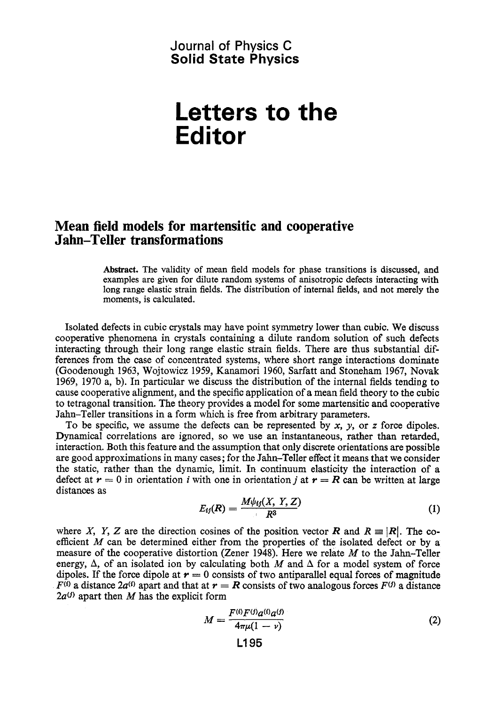#### Journal **of Physics C Solid State Physics**

# **Letters to the Editor**

## **Mean field models for martensitic and cooperative Jahn-Teller transformations**

**Abstract.** The validity of mean field models for phase transitions **is** discussed, and examples are given for dilute random systems of anisotropic defects interacting with long range elastic strain fields. The distribution of internal fields, and not merely the moments, is calculated.

Isolated defects in cubic crystals may have point symmetry lower than cubic. We discuss cooperative phenomena in crystals containing a dilute random solution of such defects interacting through their long range elastic strain fields. There are thus substantial differences from the case of concentrated systems, where short range interactions dominate (Goodenough 1963, Wojtowicz 1959, Kanamori 1960, Sarfatt and Stoneham 1967, Novak 1969, 1970 a, b). In particular we discuss the distribution of the internal fields tending to cause cooperative alignment, and the specific application of a mean field theory to the cubic to tetragonal transition. The theory provides a model for some martensitic and cooperative Jahn-Teller transitions in a form which is free from arbitrary parameters.

To be specific, we assume the defects can be represented by **x,** *y,* or *z* force dipoles. Dynamical correlations are ignored, so we use an instantaneous, rather than retarded, interaction. Both this feature and the assumption that only discrete orientations are possible are good approximations in many cases; for the Jahn-Teller effect it means that we consider the static, rather than the dynamic, limit. In continuum elasticity the interaction of a defect at  $r = 0$  in orientation *i* with one in orientation *i* at  $r = R$  can be written at large distances as

$$
E_{ij}(R) = \frac{M\psi_{ij}(X, Y, Z)}{R^3} \tag{1}
$$

where *X, Y, Z* are the direction cosines of the position vector *R* and  $R \equiv |R|$ . The coefficient *M* can be determined either from the properties of the isolated defect or by a measure of the cooperative distortion (Zener 1948). Here we relate *M* to the Jahn-Teller energy,  $\Delta$ , of an isolated ion by calculating both *M* and  $\Delta$  for a model system of force dipoles. If the force dipole at  $r = 0$  consists of two antiparallel equal forces of magnitude  $F^{(i)}$  a distance 2*a*<sup>(*t*)</sup> apart and that at  $r = R$  consists of two analogous forces  $F^{(j)}$  a distance  $2a^{(j)}$  apart then *M* has the explicit form

$$
M = \frac{F^{(i)}F^{(j)}a^{(i)}a^{(j)}}{4\pi\mu(1-\nu)}
$$
(2)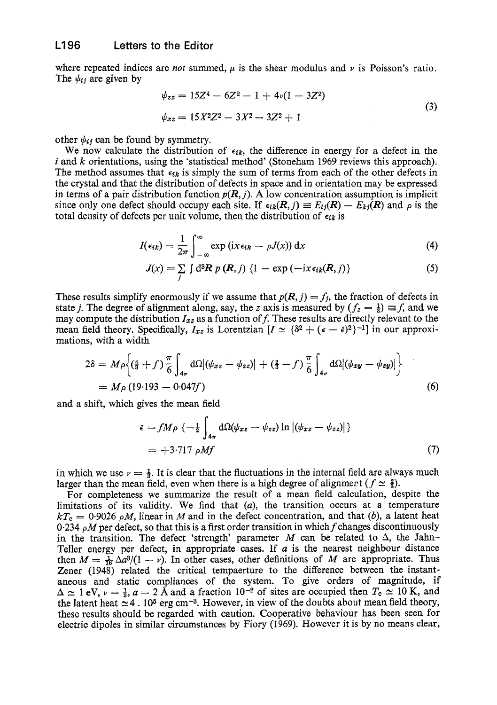#### **L196 Letters to the Editor**

where repeated indices are *not* summed,  $\mu$  is the shear modulus and  $\nu$  is Poisson's ratio. The  $\psi_{ij}$  are given by

$$
\psi_{zz} = 15Z^4 - 6Z^2 - 1 + 4\nu(1 - 3Z^2)
$$
  

$$
\psi_{xz} = 15X^2Z^2 - 3X^2 - 3Z^2 + 1
$$
 (3)

other  $\psi_{ij}$  can be found by symmetry.

We now calculate the distribution of  $\epsilon_{ik}$ , the difference in energy for a defect in the *<sup>i</sup>*and *k* orientations, using the 'statistical method' (Stoneham 1969 reviews this approach). The method assumes that  $\epsilon_{ik}$  is simply the sum of terms from each of the other defects in the crystal and that the distribution of defects in space and in orientation may be expressed in terms of a pair distribution function  $p(R, j)$ . A low concentration assumption is implicit since only one defect should occupy each site. If  $\epsilon_{ik}(R, j) \equiv E_{ij}(R) - E_{kj}(R)$  and  $\rho$  is the total density of defects per unit volume, then the distribution of  $\epsilon_{ik}$  is

$$
I(\epsilon_{ik}) = \frac{1}{2\pi} \int_{-\infty}^{\infty} \exp\left(ix\epsilon_{ik} - \rho J(x)\right) dx \tag{4}
$$

$$
J(x) = \sum_{j} \int d^{3}R \ p\ (R, j) \ \{1 - \exp(-ix \epsilon_{ik}(R, j))\}
$$
 (5)

These results simplify enormously if we assume that  $p(R, j) = f_j$ , the fraction of defects in state *j*. The degree of alignment along, say, the *z* axis is measured by  $(f_z - \frac{1}{3}) \equiv f$ , and we may compute the distribution  $I_{xz}$  as a function of f. These results are directly relevant to the mean field theory. Specifically,  $I_{xz}$  is Lorentzian  $[I \simeq {\delta^2 + (\epsilon - \bar{\epsilon})^2}^{-1}]$  in our approximations, with a width

$$
2\delta = M\rho \Big\{ \left( \frac{4}{3} + f \right) \frac{\pi}{6} \int_{4\pi} d\Omega \left| (\psi_{xz} - \psi_{zz}) \right| + \left( \frac{2}{3} - f \right) \frac{\pi}{6} \int_{4\pi} d\Omega \left| (\psi_{xy} - \psi_{zy}) \right| \Big\}
$$
  
=  $M\rho$  (19.193 - 0.047f) (6)

and a shift, which gives the mean field

$$
\begin{aligned} \bar{\epsilon} &= f M \rho \, \left\{ -\frac{1}{2} \int_{4\pi} \mathrm{d}\Omega(\psi_{xz} - \psi_{zz}) \ln \left| (\psi_{xz} - \psi_{zz}) \right| \right\} \\ &= +3.717 \, \rho M f \end{aligned} \tag{7}
$$

in which we use  $v = \frac{1}{3}$ . It is clear that the fluctuations in the internal field are always much larger than the mean field, even when there is a high degree of alignment  $(f \simeq \frac{2}{3})$ .

For completeness we summarize the result of a mean field calculation, despite the limitations of its validity. We find that *(a),* the transition occurs at **a** temperature  $kT<sub>c</sub> = 0.9026$  *pM*, linear in *M* and in the defect concentration, and that *(b)*, a latent heat 0.234 pMper defect, so that this is **a** first order transition in which *f* changes discontinuously in the transition. The defect 'strength' parameter  $M$  can be related to  $\Delta$ , the Jahn-Teller energy per defect, in appropriate cases. If *a* is the nearest neighbour distance then  $M = \frac{1}{16} \Delta a^3/(1 - v)$ . In other cases, other definitions of *M* are appropriate. Thus Zener (1948) related the critical tempaerture to the difference between the instantaneous and static compliances of the system. To give orders of magnitude, if  $\Delta \simeq 1$  eV,  $\nu = \frac{1}{3}$ ,  $a = 2$  Å and a fraction  $10^{-2}$  of sites are occupied then  $T_c \simeq 10$  K, and the latent heat  $\approx$  4. 10<sup>5</sup> erg cm<sup>-3</sup>. However, in view of the doubts about mean field theory, these results should be regarded with caution. Cooperative behaviour has been seen for electric dipoles in similar circumstances by Fiory (1969). However it is by no means clear,